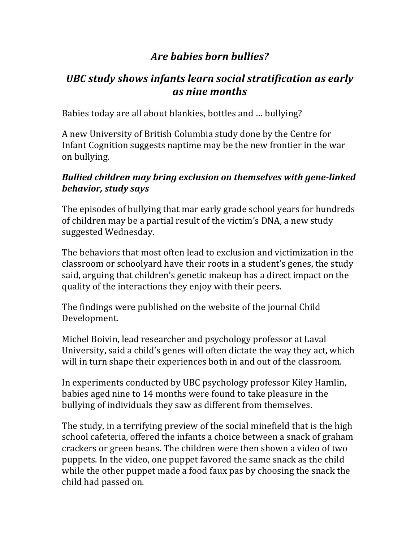# Are *babies* born bullies?

# UBC study shows infants learn social stratification as early *as nine months*

Babies today are all about blankies, bottles and ... bullying?

A new University of British Columbia study done by the Centre for Infant Cognition suggests naptime may be the new frontier in the war on bullying.

### **Bullied children may bring exclusion on themselves with gene-linked** *behavior, study says*

The episodes of bullying that mar early grade school years for hundreds of children may be a partial result of the victim's DNA, a new study suggested Wednesday.

The behaviors that most often lead to exclusion and victimization in the classroom or schoolyard have their roots in a student's genes, the study said, arguing that children's genetic makeup has a direct impact on the quality of the interactions they enjoy with their peers.

The findings were published on the website of the journal Child Development.

Michel Boivin, lead researcher and psychology professor at Laval University, said a child's genes will often dictate the way they act, which will in turn shape their experiences both in and out of the classroom.

In experiments conducted by UBC psychology professor Kiley Hamlin, babies aged nine to 14 months were found to take pleasure in the bullying of individuals they saw as different from themselves.

The study, in a terrifying preview of the social minefield that is the high school cafeteria, offered the infants a choice between a snack of graham crackers or green beans. The children were then shown a video of two puppets. In the video, one puppet favored the same snack as the child while the other puppet made a food faux pas by choosing the snack the child had passed on.